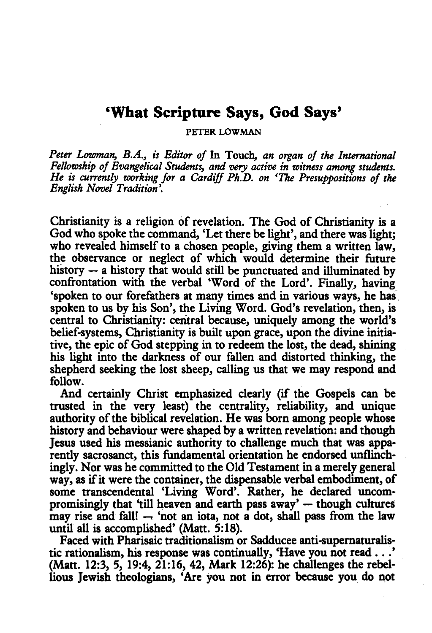# **'What Scripture Says, God Says'**

PETER LOWMAN

*Peter Lowman, B.A., is Editor of* In Touch, *an organ of the International Fellowship of Evangelical Students, and* very *active in witness among students. He is currently working for a Cardiff Ph.D. on 'The Presuppositions of the English Novel Tradition'.* 

Christianity is a religion of revelation. The God of Christianity is a God who spoke the command, 'Let there be light', and there was light; who revealed himself to a chosen people, giving them a written law, the observance or neglect of which would determine their future history - a history that would still be punctuated and illuminated by confrontation with the verbal 'Word of the Lord'. Finally, having 'spoken to our forefathers at many times and in various ways, he has. spoken to us by his Son', the Living Word. God's revelation, then, is central to Christianity: central because, uniquely among the world's belief-systems, Christianity is built upon grace, upon the divine initiative, the epic of God stepping in to redeem the lost, the dead, shining his light into the darkness of our fallen and distorted thinking, the shepherd seeking the lost sheep, calling us that we may respond and follow.

And certainly Christ emphasized clearly (if the Gospels can be trusted in the very least) the centrality, reliability, and unique authority of the biblical revelation. He was born among people whose history and behaviour were shaped by a written revelation: and though Jesus used his messianic authority to challenge much that was apparently sacrosanct, this fundamental orientation he endorsed unflinchingly. Nor was he committed to the Old Testament in a merely general way, as if it were the container, the dispensable verbal embodiment, of some transcendental 'Living Word'. Rather, he declared uncompromisingly that 'till heaven and earth pass  $a_{\text{way}}'$  - though cultures may rise and fall!  $-$  'not an iota, not a dot, shall pass from the law until all is accomplished' (Matt. 5:18).

Faced with Pharisaic traditionalism or Sadducee anti-supernaturalistic rationalism, his response was continually, 'Have you not read ... ' (Matt. 12:3, 5, 19:4, 21:16, 42, Mark 12:26): he challenges the rebellious Jewish theologians, 'Are you not in error because you\_ do not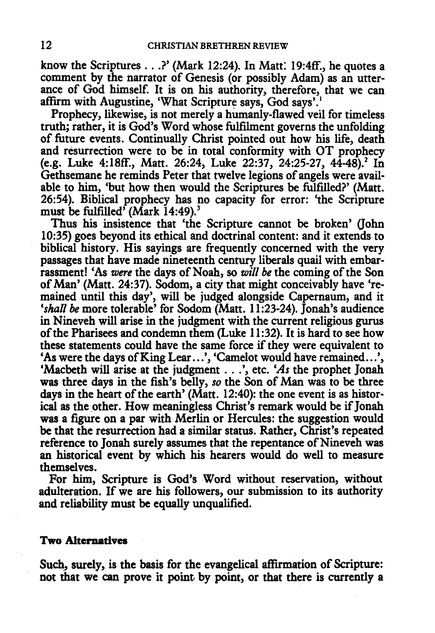know the Scriptures ... ?'(Mark 12:24). In Matt: 19:4ff., he quotes a comment by the narrator of Genesis (or possibly Adam) as an utterance of God himself. It is on his authority, therefore, that we can affirm with Augustine, 'What Scripture says, God says'. <sup>1</sup>

Prophecy, likewise, is not merely a humanly-flawed veil for timeless truth; rather, it is God's Word whose fulfilment governs the unfolding of future events. Continually Christ pointed out how his life, death and resurrection were to be in total conformity with OT prophecy (e.g. Luke 4:18ff., Matt. 26:24, Luke 22:37, 24:25-27, 44-48).<sup>2</sup> In Gethsemane he reminds Peter that twelve legions of angels were available to him, 'but how then would the Scriptures be fulfilled?' (Matt. 26:54). Biblical prophecy has no capacity for error: 'the Scripture must be fulfilled' (Mark 14:49).<sup>3</sup>

Thus his insistence that 'the Scripture cannot be broken' (John 10:35) goes beyond its ethical and doctrinal content: and it extends to biblical history. His sayings are frequently concerned with the very passages that have made nineteenth century liberals quail with embarrassment! 'As *were* the days of Noah, so *will be* the coming of the Son of Man' (Matt. 24:37). Sodom, a city that might conceivably have 'remained until this day', will be judged alongside Capernaum, and it 'shall be more tolerable' for Sodom (Matt. 11:23-24). Jonah's audience in Nineveh will arise in the judgment with the current religious gurus of the Pharisees and condemn them {Luke 11 :32). It is hard to see how these statements could have the same force if they were equivalent to 'As were the days of King Lear ...', 'Camelot would have remained...', 'Macbeth will arise at the judgment ... ',etc. *'As* the prophet Jonah was three days in the fish's belly, *so* the Son of Man was to be three days in the heart of the earth' (Matt. 12:40): the one event is as historical as the other. How meaningless Christ's remark would be if Jonah was a figure on a par with Merlin or Hercules: the suggestion would be that the resurrection had a similar status. Rather, Christ's repeated reference to Jonah surely assumes that the repentance of Nineveh was an historical event by which his hearers would do well to measure themselves.

For him, Scripture is God's Word without reservation, without adulteration. If we are his followers, our submission to its authority and reliability must be equally unqualified.

## **Two Alternatives**

Such, surely, is the basis for the evangelical affirmation of Scripture: not that we can prove it point. by point, or that there is currently a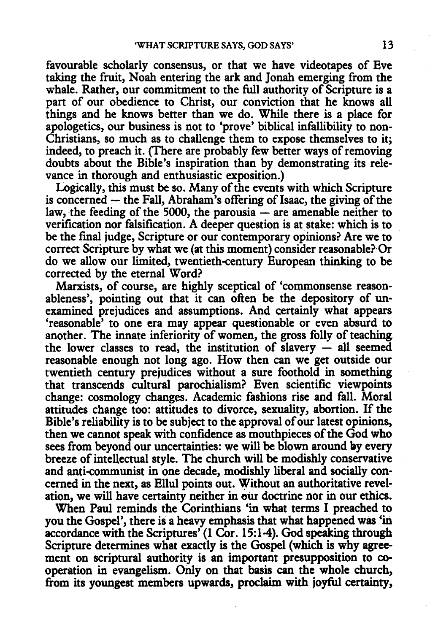favourable scholarly consensus, or that we have videotapes of Eve taking the fruit, Noah entering the ark and Jonah emerging from the whale. Rather, our commitment to the full authority of Scripture is a part of our obedience to Christ, our conviction that he knows all things and he knows better than we do. While there is a place for apologetics, our business is not to 'prove' biblical infallibility to non-Christians, so much as to challenge them to expose themselves to it; indeed, to preach it. (There are probably few better ways of removing doubts about the Bible's inspiration than by demonstrating its relevance in thorough and enthusiastic exposition.)

Logically, this must be so. Many of the events with which Scripture  $\frac{1}{2}$  is concerned  $-$  the Fall, Abraham's offering of Isaac, the giving of the law, the feeding of the 5000, the parousia  $-$  are amenable neither to verification nor falsification. A deeper question is at stake: which is to be the fmal judge, Scripture or our contemporary opinions? Are we to correct Scripture by what we (at this moment) consider reasonable? Or do we allow our limited, twentieth-century European thinking to be corrected by the eternal Word?

Marxists, of course, are highly sceptical of 'commonsense reasonableness', pointing out that it can often be the depository of unexamined prejudices and assumptions. And certainly what appears 'reasonable' to one era may appear questionable or even absurd to another. The innate inferiority of women, the gross folly of teaching the lower classes to read, the institution of slavery  $-$  all seemed reasonable enough not long ago. How then can we get outside our twentieth century prejudices without a sure foothold in something that transcends cultural parochialism? Even scientific viewpoints change: cosmology changes. Academic fashions rise and fall. Moral attitudes change too: attitudes to divorce, sexuality, abortion. If the Bible's reliability is to be subject to the approval of our latest opinions, then we cannot speak with confidence as mouthpieces of the God who sees from beyond our uncertainties: we will be blown around by every breeze of intellectual style. The church will be modishly conservative and anti-communist in one decade, modishly liberal and socially concerned in the next, as Ellul points out. Without an authoritative revelation, we will have certainty neither in our doctrine nor in our ethics.

When Paul reminds the Corinthians 'in what terms I preached to you the Gospel', there is a heavy emphasis that what happened was 'in accordance with the Scriptures' (1 Cor. 15:1-4). God speaking through Scripture determines what exactly is the Gospel (which is why agreement on scriptural authority is an important presupposition to cooperation in evangelism. Only on that basis can the whole church, from its youngest members upwards, proclaim with joyful certainty,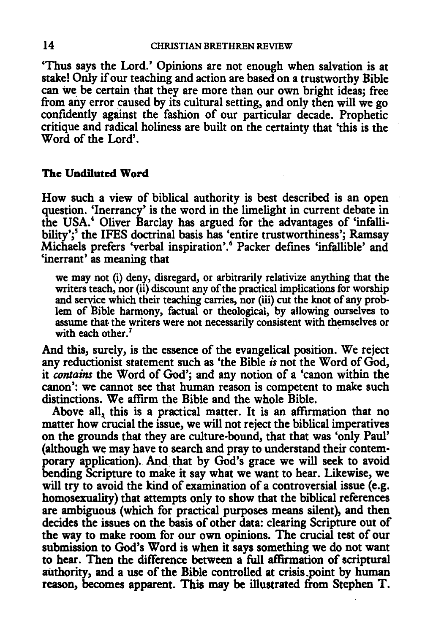'Thus says the Lord.' Opinions are not enough when salvation is at stake! Only if our teaching and action are based on a trustworthy Bible can we be certain that they are more than our own bright ideas; free from any error caused by its cultural setting, and only then will we go confidently against the fashion of our panicular decade. Prophetic critique and radical holiness are built on the certainty that 'this is the Word of the Lord'.

# The Undiluted Word

How such a view of biblical authority is best described is an open question. 'Inerrancy' is the word in the limelight in current debate in the USA.4 Oliver Barclay has argued for the advantages of 'infallibility';<sup>5</sup> the IFES doctrinal basis has 'entire trustworthiness'; Ramsay Michaels prefers 'verbal inspiration'. 6 Packer defines 'infallible' and 'inerrant' as meaning that

we may not (i) deny, disregard, or arbitrarily relativize anything that the writers teach, nor (ii) discount any of the practical implications for worship and seryice which their teaching carries, nor (iii) cut the knot of any problem of Bible harmony, factual or theological, by allowing ourselves to assume that the writers were not necessarily consistent with themselves or with each other.<sup>7</sup>

And this, surely, is the essence of the evangelical position. We reject any reductionist statement such as 'the Bible *is* not the Word of God, it *contains* the Word of God'; and any notion of a 'canon within the canon': we cannot see that human reason is competent to make such distinctions. We affirm the Bible and the whole Bible.

Above all, this is a practical matter. It is an affirmation that no matter how crucial the issue, we will not reject the biblical imperatives on the grounds that they are culture-bound, that that was 'only Paul' (although we may have to search and pray to understand their contemporary application). And that by God's grace we will seek to avoid bending Scripture to make it say what we want to hear. Likewise, we will try to avoid the kind of examination of a controversial issue (e.g. homosexuality) that attempts only to show that the biblical references are ambiguous (which for practical purposes means silent), and then decides the issues on the basis of other data: clearing Scripture out of the way to make room for our own opinions. The crucial test of our submission to God's Word is when it says something we do not want to hear. Then the difference between a full affirmation of scriptural authority, and a use of the Bible controlled at crisis .point by human reason, becomes apparent. This may be illustrated from Stephen T.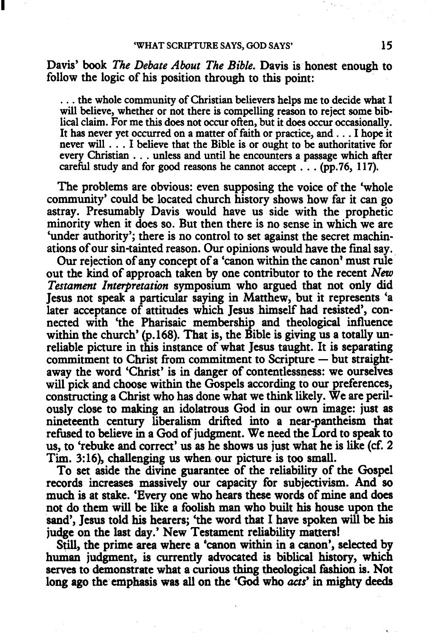I

Davis' book *The Debate About The Bible*. Davis is honest enough to follow the logic of his position through to this point:

... the whole community of Christian believers helps me to decide what I will believe, whether or not there is compelling reason to reject some biblical claim. For me this does not occur often, but it does occur occasionally. It has never yet occurred on a matter of faith or practice, and . . . I hope it never will . . . I believe that the Bible is or ought to be authoritative for every Christian . . . unless and until he encounters a passage which after careful study and for good reasons he cannot accept  $\ldots$  (pp. 76, 117).

The problems are obvious: even supposing the voice of the 'whole community' could be located church history shows how far it can go astray. Presumably Davis would have us side with the prophetic minority when it does so. But then there is no sense in which we are 'under authority'; there is no control to set against the secret machinations of our sin-tainted reason. Our opinions would have the final say ..

Our rejection of any concept of a 'canon within the canon' must rule out the kind of approach taken by one contributor to the recent *New Testament Interpretation* symposium who argued that not only did Jesus not speak a particular saying in Matthew, but it represents 'a later acceptance of attitudes which Jesus himself had resisted', connected with 'the Pharisaic membership and theological influence within the church' (p.168). That is, the Bible is giving us a totally unreliable picture in this instance of what Jesus taught. It is separating commitment to Christ from commitment to Scripture - but straightaway the word 'Christ' is in danger of contentlessness: we ourselves will pick and choose within the Gospels according to our preferences, constructing a Christ who has done what we think likely. We are perilously close to making an idolatrous God in our own image: just as nineteenth century liberalism drifted into a near-pantheism that refused to believe in a God of judgment. We need the Lord to speak to us, to 'rebuke and correct' us as he shows us just what he is like (cf. 2) Tim. 3:16), challenging us when our picture is too small.

To set aside the divine guarantee of the reliability of the Gospel records increases massively our capacity for subjectivism. And so much is at stake. 'Every one who hears these words of mine and does not do them will be like a foolish man who built his house upon the sand', Jesus told his hearers; 'the word that I have spoken will be his judge on the last day.' New Testament reliability matters!

Still, the prime area where a 'canon within in a canon', selected by human judgment, is currently advocated is biblical history, which serves to demonstrate what a curious thing theological fashion is. Not long ago the emphasis was all on the 'God who *acts'* in mighty deeds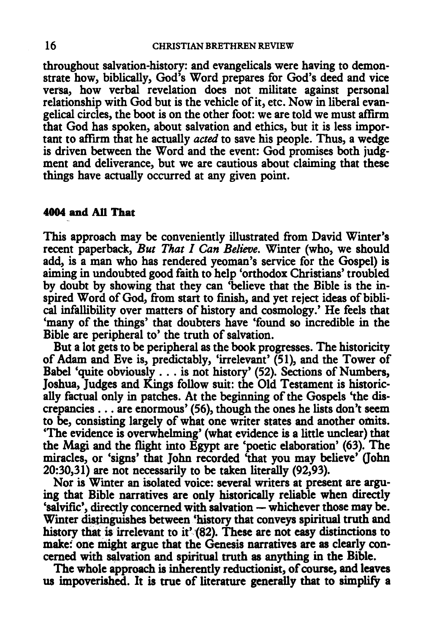throughout salvation-history: and evangelicals were having to demonstrate how, biblically, God's Word prepares for God's deed and vice versa, how verbal revelation does not militate against personal relationship with God but is the vehicle of it, etc. Now in liberal evangelical circles, the boot is on the other foot: we are told we must affirm that God has spoken, about salvation and ethics, but it is less important to affrrm that he actually *acted* to save his people. Thus, a wedge is driven between the Word and the event: God promises both judgment and deliverance, but we are cautious about claiming that these things have actually occurred at any given point.

## 4004 and All That

This approach may be conveniently illustrated from David Winter's recent paperback, *But That I Can Believe.* Winter (who, we should add, is a man who has rendered yeoman's service for the Gospel) is aiming in undoubted good faith to help 'orthodox Christians' troubled by doubt by showing that they can 'believe that the Bible is the inspired Word of God, from start to finish, and yet reject ideas of biblical infallibility over matters of history and cosmology.' He feels that 'many of the things' that doubters have 'found so incredible in the Bible are peripheral to' the truth of salvation.

But a lot gets to be peripheral as the book progresses. The historicity of Adam and Eve is, predictably, 'irrelevant' (51), and the Tower of Babel 'quite obviously ... is not history' (52). Sections of Numbers, Joshua, Judges and Kings follow suit: the Old Testament is historically factual only in patches. At the beginning of the Gospels 'the dis-crepancies ... are enormous' (56), though the ones he lists don't seem to be, consisting largely of what one writer states and another omits. 'The evidence is overwhelming' (what evidence is a little unclear) that the Magi and the flight into Egypt are 'poetic elaboration' (63). The miracles, or 'signs' that John recorded 'that you may believe' (John 20:30,31) are not necessarily to be taken literally (92,93).

Nor is Winter an isolated voice: several writers at present are arguing that Bible narratives are only historically reliable when directly 'salvific', directly concerned with salvation - whichever those may be. Winter distinguishes between 'history that conveys spiritual truth and history that is irrelevant to it' (82). These are not easy distinctions to make: one might argue that the Genesis narratives are as clearly concerned with salvation and spiritual truth as anything in the Bible.

The whole approach is inherently reductionist, of course, and leaves us impoverished. It is true of literature generally that to simplify a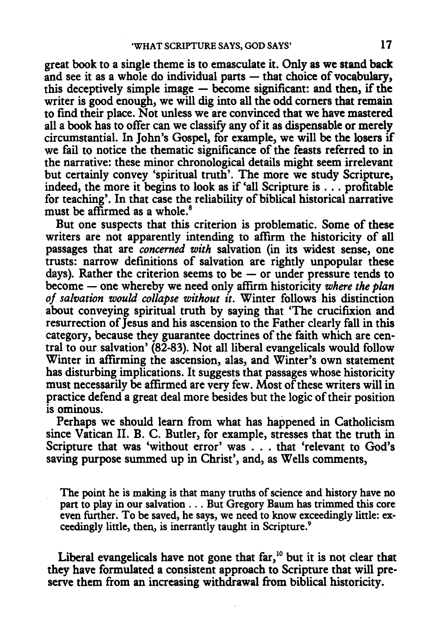great book to a single theme is to emasculate it. Only as we stand back and see it as a whole do individual parts - that choice of vocabulary, this deceptively simple image  $-$  become significant: and then, if the writer is good enough, we will dig into all the odd corners that remain to find their place. Not unless we are convinced that we have mastered all a book has to offer can we classify any of it as dispensable or merely circumstantial. In John's Gospel, for example, we will be the losers if we fail to notice the thematic significance of the feasts referred to in the narrative: these minor chronological details might seem irrelevant but certainly convey 'spiritual truth'. The more we study Scripture, indeed, the more it begins to look as if 'all Scripture is . . . profitable for teaching'. In that case the reliability of biblical historical narrative must be affirmed as a whole.<sup>8</sup>

But one suspects that this criterion is problematic. Some of these writers are not apparently intending to affirm the historicity of all passages that are *concerned with* salvation (in its widest sense, one trusts: narrow definitions of salvation are rightly unpopular these days). Rather the criterion seems to be  $-$  or under pressure tends to become - one whereby we need only affirm historicity where the plan *of salvation would collapse without it.* Winter follows his distinction about conveying spiritual truth by saying that 'The crucifixion and resurrection of Jesus and his ascension to the Father clearly fall in this category, because they guarantee doctrines of the faith which are central to our salvation' (82-83). Not all liberal evangelicals would follow Winter in affirming the ascension, alas, and Winter's own statement has disturbing implications. It suggests that passages whose historicity must necessarily be affirmed are very few. Most of these writers will in practice defend a great deal more besides but the logic of their position is ominous.

Perhaps we should learn from what has happened in Catholicism since Vatican II. B. C. Butler, for example, stresses that the truth in Scripture that was 'without error' was ... that 'relevant to God's saving purpose summed up in Christ', and, as Wells comments,

The point he is making is that many truths of science and history have no part to play in our salvation ... But Gregory Baum has trimmed this core even further. To be saved, he says, we need to know exceedingly little: exceedingly little, then, is inerrantly taught in Scripture.<sup>9</sup>

Liberal evangelicals have not gone that far,<sup>10</sup> but it is not clear that they have formulated a consistent approach to Scripture that will preserve them from an increasing withdrawal from biblical historicity.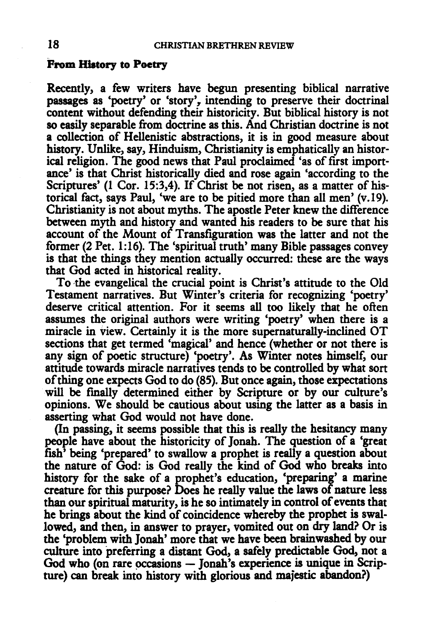#### From History to Poetry

Recently, a few writers have begun presenting biblical narrative passages as 'poetry' or 'story', intending to preserve their doctrinal content without defending their historicity. But biblical history is not so easily separable from doctrine as this. And Christian doctrine is not a collection of Hellenistic abstractions, it is in good measure about history. Unlike, say, Hinduism, Christianity is emphatically an historical religion. The good news that Paul proclaimed 'as of first importance' is that Christ historically died and rose again 'according to the Scriptures' (1 Cor. 15:3,4). If Christ be not risen, as a matter of historical fact, says Paul, 'we are to be pitied more than all men' (v.19). Christianity is not about myths. The apostle Peter knew the difference between myth and history and wanted his readers to be sure that his account of the Mount of Transfiguration was the latter and not the former (2 Pet. 1:16). The 'spiritual truth' many Bible passages convey is that the things they mention actually occurred: these are the ways that God acted in historical reality.

To the evangelical the crucial point is Christ's attitude to the Old Testament narratives. But Winter's criteria for recognizing 'poetry' deserve critical attention. For it seems all too likely that he often assumes the original authors were writing 'poetry' when there is a miracle in view. Certainly it is the more supernaturally-inclined OT sections that get termed 'magical' and hence (whether or not there is any sign of poetic structure) 'poetry'. As Winter notes himself, our attitude towards miracle narratives tends to be controlled by what sort of thing one expects God to do (85). But once again, those expectations will be finally determined either by Scripture or by our culture's opinions. We should be cautious about using the latter as a basis in asserting what God would not have done.

(In passing, it seems possible that this is really the hesitancy many people have about the historicity of Jonah. The question of a 'great fish' being 'prepared' to swallow a prophet is really a question about the nature of God: is God really the kind of God who breaks into history for the sake of a prophet's education, 'preparing' a marine creature for this purpose? Does he really value the laws of nature less than our spiritual maturity, is he so intimately in control of events that he brings about the kind of coincidence whereby the prophet is swallowed, and then, in answer to prayer, vomited out on dry land? Or is the 'problem with Jonah' more that we have been brainwashed by our culture into preferring a distant God, a safely predictable God, not a God who (on rare occasions  $-$  Jonah's experience is unique in Scripture) can break into history with glorious and majestic abandon?)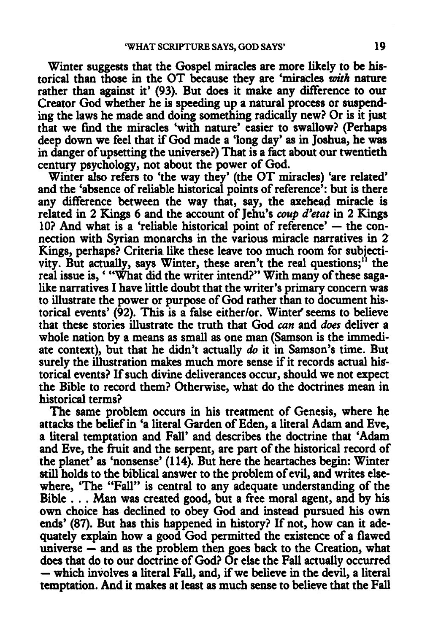Winter suggests that the Gospel miracles are more likely to be historical than those in the OT because they are 'miracles *with* nature rather than against it' (93). But does it make any difference to our Creator God whether he is speeding up a natural process or suspending the laws he made and doing something radically new? Or is it just that we fmd the miracles 'with nature' easier to swallow? (Perhaps deep down we feel that if God made a 'long day' as in Joshua, he was in danger of upsetting the universe?) That is a fact about our twentieth century psychology, not about the power of God.

Winter also refers to 'the way they' (the OT miracles) 'are related' and the 'absence of reliable historical points of reference': but is there any difference between the way that, say, the axehead miracle is related in 2 Kings 6 and the account of Jehu's *coup d'etat* in 2 Kings  $10$ ? And what is a 'reliable historical point of reference'  $-$  the connection with Syrian monarchs in the various miracle narratives in 2 Kings, perhaps? Criteria like these leave too much room for subjectivity. But actually, says Winter, these aren't the real questions;<sup>11</sup> the real issue is, ' "What did the writer intend?" With many of these sagalike narratives I have little doubt that the writer's primary concern was to illustrate the power or purpose of God rather than to document historical events' (92). This is a false either/or. Wintef seems to believe that these stories illustrate the truth that God *can* and *does* deliver a whole nation by a means as small as one man (Samson is the immediate context), but that he didn't actually *do* it in Samson's time. But surely the illustration makes much more sense if it records actual historical events? If such divine deliverances occur, should we not expect the Bible to record them? Otherwise, what do the doctrines mean in historical terms?

The same problem occurs in his treatment of Genesis, where he attacks the belief in 'a literal Garden of Eden, a literal Adam and Eve, a literal temptation and Fall' and describes the doctrine that 'Adam and Eve, the fruit and the serpent, are part of the historical record of the planet' as 'nonsense' (114). But here the heartaches begin: Winter still holds to the biblical answer to the problem of evil, and writes elsewhere, 'The "Fall" is central to any adequate understanding of the Bible . . . Man was created good, but a free moral agent, and by his own choice has declined to obey God and instead pursued his own ends' (87). But has this happened in history? If not, how can it adequately explain how a good God permitted the existence of a flawed universe  $-$  and as the problem then goes back to the Creation, what does that do to our doctrine of God? Or else the Fall actually occurred — which involves a literal Fall, and, if we believe in the devil, a literal temptation. And it makes at least as much sense to believe that the Fall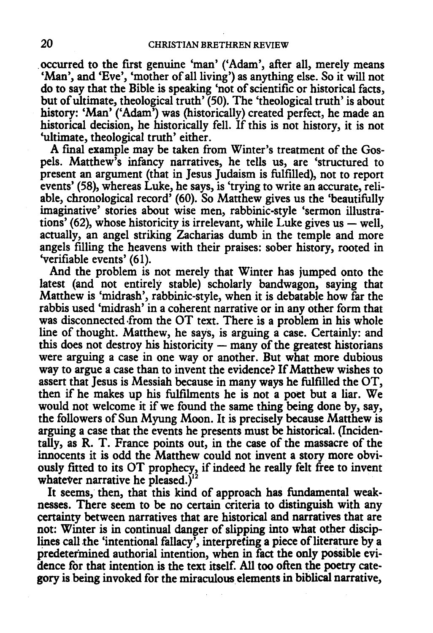occurred to the first genuine 'man' ('Adam', after all, merely means 'Man', and 'Eve', 'mother of all living') as anything else. So it will not do to say that the Bible is speaking 'not of scientific or historical facts, but of ultimate, theological truth' (50). The 'theological truth' is about history: 'Man' ('Adam') was (historically) created perfect, he made an historical decision, he historically fell. If this is not history, it is not 'ultimate, theological truth' either.

A final example may be taken from Winter's treatment of the Gospels. Matthew's infancy narratives, he tells us, are 'structured to present an argument (that in Jesus Judaism is fulfilled), not to report events' (58), whereas Luke, he says, is 'trying to write an accurate, reliable, chronological record' (60). So Matthew gives us the 'beautifully imaginative' stories about wise men, rabbinic-style 'sermon illustrations' (62), whose historicity is irrelevant, while Luke gives us  $-$  well, actually, an angel striking Zacharias dumb in the temple and more angels filling the heavens with their praises: sober history, rooted in 'verifiable events' (61).

And the problem is not merely that Winter has jumped onto the latest (and not entirely stable) scholarly bandwagon, saying that Matthew is 'midrash', rabbinic-style, when it is debatable how far the rabbis used 'midrash' in a coherent narrative or in any other form that was disconnected from the OT text. There is a problem in his whole line of thought. Matthew, he says, is arguing a case. Certainly: and this does not destroy his historicity  $-$  many of the greatest historians were arguing a case in one way or another. But what more dubious way to argue a case than to invent the evidence? If Matthew wishes to assert that Jesus is Messiah because in many ways he fulfilled the OT, then if he makes up his fulfilments he is not a poet but a liar. We would not welcome it if we found the same thing being done by, say, the followers of Sun Myung Moon. It is precisely because Matthew is arguing a case that the events he presents must be historical. (Incidentally, as R. T. France points out, in the case of the massacre of the innocents it is odd the Matthew could not invent a story more obviously fitted to its OT prophecy, if indeed he really felt free to invent whatever narrative he pleased.) $^{12}$ 

It seems, then, that this kind of approach has fundamental weaknesses. There seem to be no certain criteria to distinguish with any certainty between narratives that are historical and narratives that are not: Winter is in continual danger of slipping into what other disciplines call the 'intentional fallacy', interpreting a piece of literature by a predetermined authorial intention, when in fact the only possible evidence for that intention is the text itself. All too often the poetry category is being invoked for the miraculous elements in biblical narrative,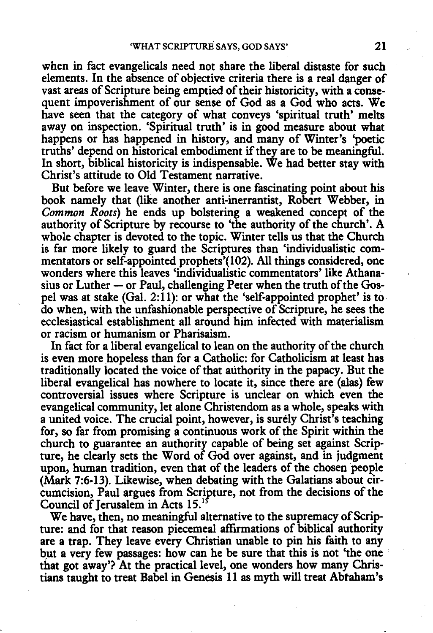when in fact evangelicals need not share the liberal distaste for such elements. In the absence of objective criteria there is a real danger of vast areas of Scripture being emptied of their historicity, with a consequent impoverishment of our sense of God as a God who acts. We have seen that the category of what conveys 'spiritual truth' melts away on inspection. 'Spiritual truth' is in good measure about what happens or has happened in history, and many of Winter's 'poetic truths' depend on historical embodiment if they are to be meaningful. In short, biblical historicity is indispensable. We had better stay with Christ's attitude to Old Testament narrative.

But before we leave Winter, there is one fascinating point about his book namely that (like another anti-inerrantist, Robert Webber, in *Common Roots)* he ends up bolstering a weakened concept of the authority of Scripture by recourse to 'the authority of the church'. A whole chapter is devoted to the topic. Winter tells us that the Church is far more likely to guard the Scriptures than 'individualistic commentators or self-appointed prophets'(l02). All things considered, one wonders where this leaves 'individualistic commentators' like Athanasius or Luther  $-$  or Paul, challenging Peter when the truth of the Gospel was at stake (Gal. 2:11): or what the 'self-appointed prophet' is to do when, with the unfashionable perspective of Scripture, he sees the ecclesiastical establishment all around him infected with materialism or racism or humanism or Pharisaism.

In fact for a liberal evangelical to lean on the authority of the church is even more hopeless than for a Catholic: for Catholicism at least has traditionally located the voice of that authority in the papacy. But the liberal evangelical has nowhere to locate it, since there are (alas) few controversial issues where Scripture is unclear on which even the evangelical community, let alone Christendom as a whole, speaks with a united voice. The crucial point, however, is surely Christ's teaching for, so far from promising a continuous work of the Spirit within the church to guarantee an authority capable of being set against Scripture, he clearly sets the Word of God over against, and in judgment upon, human tradition, even that of the leaders of the chosen people (Mark 7:6-13). Likewise, when debating with the Galatians about circumcision, Paul argues from Scripture, not from the decisions of the Council of Jerusalem in Acts 15.<sup>15</sup>

We have, then, no meaningful alternative to the supremacy of Scripture: and for that reason piecemeal affirmations of biblical authority are a trap. They leave every Christian unable to pin his faith to any but a very few passages: how can he be sure that this is not 'the one that got away'? At the practical level, one wonders how many Christians taught to treat Babel in Genesis 11 as myth will treat Abtaham's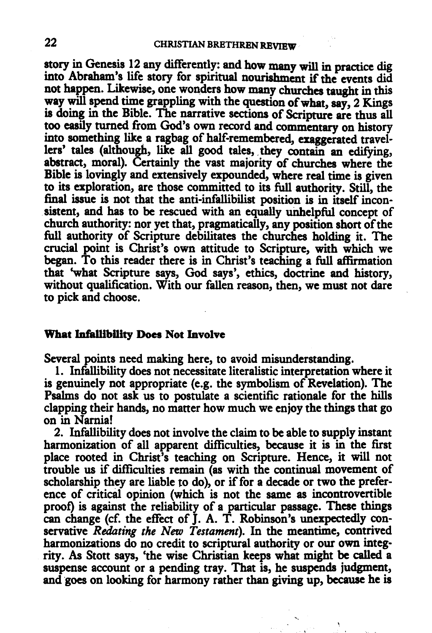story in Genesis 12 any differently: and how many will in practice dig into Abraham's life story for spiritual nourishment if the events did not happen. Likewise, one wonders how many churches taught in this way will spend time grappling with the question of what, say, 2 Kings is doing in the Bible. The narrative sections of Scripture are thus all too easily turned from God's own record and commentary on history into something like a ragbag of half-remembered, exaggerated travellers' tales (although, like all good tales, they contain an edifying, abstract, moral). Certainly the vast majority of churches where the Bible is lovingly and extensively expounded, where real time is given to its exploration, are those committed to its full authority. Still, the final issue is not that the anti-infallibilist position is in itself incon sistent, and has to be rescued with an equally unhelpful concept of church authority: nor yet that, pragmatically, any position short of the full authority of Scripture debilitates the churches holding it. The crucial point is Christ's own attitude to Scripture, with which we began. To this reader there is in Christ's teaching a full affirmation that 'what Scripture says, God says', ethics, doctrine and history, without qualification. With our fallen reason, then, we must not dare to pick and choose.

#### What Infallibility Does Not Involve

Several points need making here, to avoid misunderstanding.

1. Infallibility does not necessitate literalistic interpretation where it is genuinely not appropriate (e.g. the symbolism of Revelation). The Psalms do not ask us to postulate a scientific rationale for the hills clapping their hands, no matter how much we enjoy the things that go on in Narnia!

2. Infallibility does not involve the claim to be able to supply instant harmonization of all apparent difficulties, because it is in the first place rooted in Christ's teaching on Scripture. Hence, it will not trouble us if difficulties remain (as with the continual movement of scholarship they are liable to do), or if for a decade or two the preference of critical opinion (which is not the same as incontrovertible proof) is against the reliability of a particular passage. These things can change (cf. the effect of J. A. T. Robinson's unexpectedly conservative *Redating the New Testament).* In the meantime, contrived harmonizations do no credit to scriptural authority or our own integrity. As Stott says, 'the wise Christian keeps what might be called a suspense account or a pending tray. That is, he suspends judgment, and goes on looking for harmony rather than giving up, because he is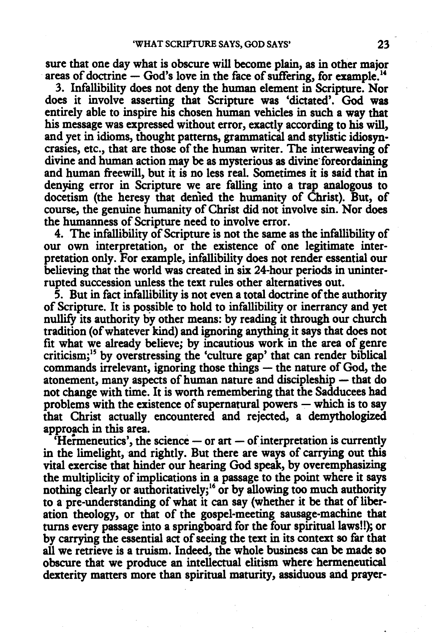sure that one day what is obscure will become plain, as in other major areas of doctrine  $-$  God's love in the face of suffering, for example.<sup>14</sup>

3. Infallibility does not deny the human element in Scripture. Nor does it involve asserting that Scripture was 'dictated'. God was entirely able to inspire his chosen human vehicles in such a way that his message was expressed without error, exactly according to his will, and yet in idioms, thought patterns, grammatical and stylistic idiosyncrasies, etc., that are those of the human writer. The interweaving of divine and human action may be as mysterious as divine foreordaining and human freewill, but it is no less real. Sometimes it is said that in denying error in Scripture we are falling into a trap analogous to docetism (the heresy that denied the humanity of Christ). But, of course, the genuine humanity of Christ did not involve sin. Nor does the humanness of Scripture need to involve error.

4. The infallibility of Scripture is not the same as the infallibility of our own interpretation, or the existence of one legitimate interpretation only. For example, infallibility does not render essential our believing that the world was created in six 24-hour periods in uninterrupted succession unless the text rules other alternatives out.

5. But in fact infallibility is not even a total doctrine of the authority of Scripture. It is possible to hold to infallibility or inerrancy and yet nullify its authority by other means: by reading it through our church tradition (of whatever kind) and ignoring anything it says that does not fit what we already believe; by incautious work in the area of genre criticism;15 by overstressing the 'culture gap' that can render biblical  $commands$  irrelevant, ignoring those things  $-$  the nature of God, the atonement, many aspects of human nature and discipleship - that do not change with time. It is worth remembering that the Sadducees had problems with the existence of supernatural powers  $-$  which is to say that Christ actually encountered and rejected, a demythologized approach in this area.

 $'$ Hermeneutics', the science  $-$  or art  $-$  of interpretation is currently in the limelight, and rightly. But there are ways of carrying out this vital exercise that hinder our hearing God speak, by overemphasizing the multiplicity of implications in a passage to the point where it says nothing clearly or authoritatively;<sup>16</sup> or by allowing too much authority to a pre-understanding of what it can say (whether it be that of liberation theology, or that of the gospel-meeting sausage-machine that turns every passage into a springboard for the four spiritual laws!!); or by carrying the essential act of seeing the text in its context so far that all we retrieve is a truism. Indeed, the whole business can be made so obscure that we produce an intellectual elitism where hermeneutical dexterity matters more than spiritual maturity, assiduous and prayer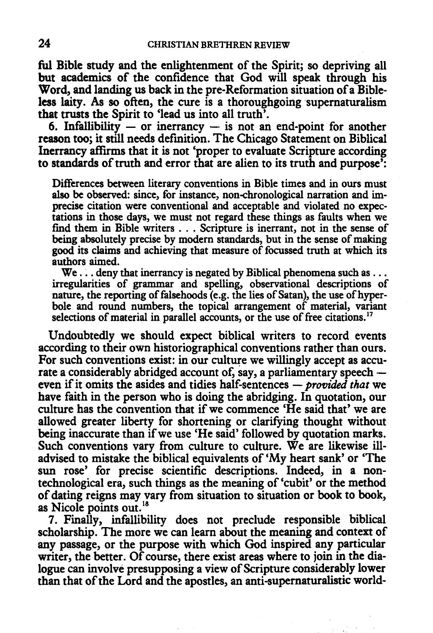ful Bible study and the enlightenment of the Spirit; so depriving all but academics of the confidence that God will speak through his Word, and landing us back in the pre-Reformation situation of a Bibleless laity. As so often, the cure is a thoroughgoing supernaturalism that trusts the Spirit to 'lead us into all truth'.

6. Infallibility  $-$  or inerrancy  $-$  is not an end-point for another reason too; it still needs defmition. The Chicago Statement on Biblical Inerrancy affirms that it is not 'proper to evaluate Scripture according to standards of truth and error that are alien to its truth and purpose':

Differences between literary conventions in Bible times and in ours must also be observed: since, for instance, non-chronological narration and imprecise citation were conventional and acceptable and violated no expectations in those days, we must not regard these things as faults when we find them in Bible writers . . . Scripture is inerrant, not in the sense of being absolutely precise by modem standards, but in the sense of making good its claims and achieving that measure of focussed truth at which its authors aimed.

 $We...$  deny that inerrancy is negated by Biblical phenomena such as ... irregularities of grammar and spelling, observational descriptions of nature, the reporting of falsehoods (e.g. the lies of Satan), the use of hyperbole and round numbers, the topical arrangement of material, variant selections of material in parallel accounts, or the use of free citations.<sup>17</sup>

Undoubtedly we should expect biblical writers to record events according to their own historiographical conventions rather than ours. For such conventions exist: in our culture we willingly accept as accurate a considerably abridged account of, say, a parliamentary speech even if it omits the asides and tidies half-sentences - *provided that* we have faith in the person who is doing the abridging. In quotation, our culture has the convention that if we commence 'He said that' we are allowed greater liberty for shortening or clarifying thought without being inaccurate than if we use 'He said' followed by quotation marks. Such conventions vary from culture to culture. We are likewise illadvised to mistake the biblical equivalents of 'My heart sank' or 'The sun rose' for precise scientific descriptions. Indeed, in a nontechnological era, such things as the meaning of 'cubit' or the method of dating reigns may vary from situation to situation or book to book, as Nicole points out.<sup>18</sup>

7. Finally, infallibility does not preclude responsible biblical scholarship. The more we can learn about the meaning and context of any passage, or the purpose with which God inspired any particular writer, the better. Of course, there exist areas where to join in the dialogue can involve presupposing a view of Scripture considerably lower than that of the Lord and the apostles, an anti-supematuralistic world-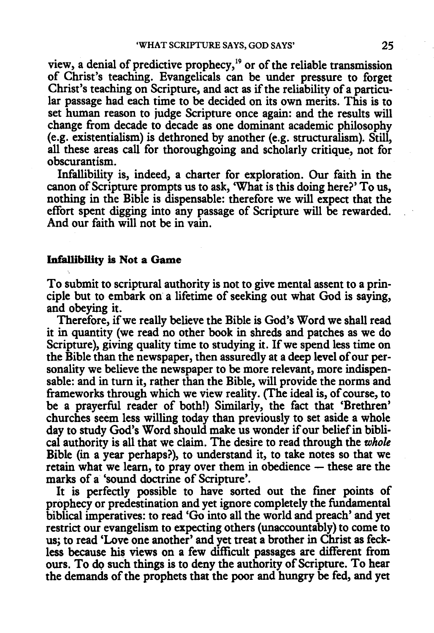view, a denial of predictive prophecy, $19$  or of the reliable transmission of Christ's teaching. Evangelicals can be under pressure to forget Christ's teaching on Scripture, and act as if the reliability of a particular passage had each time to be decided on its own merits. This is to set human reason to judge Scripture once again: and the results will change from decade to decade as one dominant academic philosophy (e.g. existentialism) is dethroned by another (e.g. structuralism). Still, all these areas call for thoroughgoing and scholarly critique, not for obscurantism.

Infallibility is, indeed, a charter for exploration. Our faith in the canon of Scripture prompts us to ask, 'What is this doing here?' To us, nothing in the Bible is dispensable: therefore we will expect that the effort spent digging into any passage of Scripture will be rewarded. And our faith will not be in vain.

### Infallibility is Not a Game

To submit to scriptural authority is not to give mental assent to a principle but to embark on a lifetime of seeking out what God is saying, and obeying it.

Therefore, if we really believe the Bible is God's Word we shall read it in quantity (we read no other book in shreds and patches as we do Scripture), giving quality time to studying it. If we spend less time on the Bible than the newspaper, then assuredly at a deep level of our personality we believe the newspaper to be more relevant, more indispensable: and in turn it, rather than the Bible, will provide the norms and frameworks through which we view reality. (The ideal is, of course, to be a prayerful reader of both!) Similarly, the fact that 'Brethren' churches seem less willing today than previously to set aside a whole day to study God's Word should make us wonder if our belief in biblical authority is all that we claim. The desire to read through the *whole*  Bible (in a year perhaps?), to understand it, to take notes so that we retain what we learn, to pray over them in obedience  $-$  these are the marks of a 'sound doctrine of Scripture'.

It is perfectly possible to have sorted out the finer points of prophecy or predestination and yet ignore completely the fundamental biblical imperatives: to read 'Go into all the world and preach' and yet restrict our evangelism to expecting others (unaccountably) to come to us; to read 'Love one another' and yet treat a brother in Christ as feckless because his views on a few difficult passages are different from ours. To do such things is to deny the authority of Scripture. To hear the demands of the prophets that the poor and hungry be fed, and yet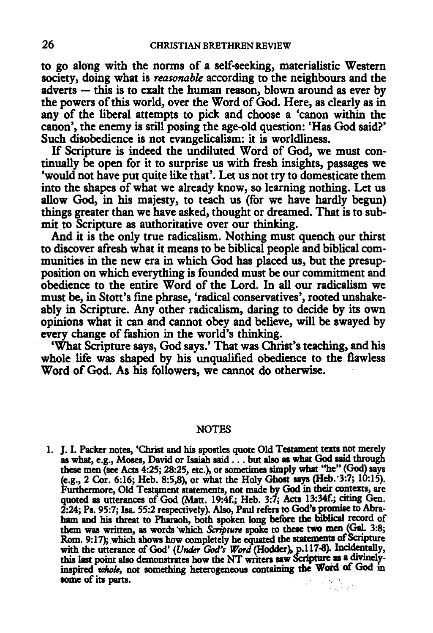to go along with the norms of a self-seeking, materialistic Western society, doing what is *reasonable* according to the neighbours and the  $adverts - this is to exalt the human reason, blown around as ever by$ the powers of this world, over the Word of God. Here, as clearly as in any of the liberal attempts to pick and choose a 'canon within the canon', the enemy is still posing the age-old question: 'Has God said?' Such disobedience is not evangelicalism: it is worldliness.

If Scripture is indeed the undiluted Word of God, we must continually be open for it to surprise us with fresh insights, passages we 'would not have put quite like that'. Let us not try to domesticate them into the shapes of what we already know, so learning nothing. Let us allow God, in his majesty, to teach us (for we have hardly begun) things greater than we have asked, thought or dreamed. That is to submit to Scripture as authoritative over our thinking.

And it is the only true radicalism. Nothing must quench our thirst to discover afresh what it means to be biblical people and biblical communities in the new era in which God has placed us, but the presupposition on which everything is founded must be our commitment and obedience to the entire Word of the Lord. In all our radicalism we must be, in Stott's fine phrase, 'radical conservatives', rooted unshakeably in Scripture. Any other radicalism, daring to decide by its own opinions what it can and cannot obey and believe, will be swayed by every change of fashion in the world's thinking.

'What Scripture says, God says.' That was Christ's teaching, and his whole life was shaped by his unqualified obedience to the flawless Word of God. As his followers, we cannot do otherwise.

#### **NOTES**

1. J. I. Packer notes, 'Christ and his apostles quote Old Testament texts not merely as what, e.g., Moses, David or Isaiah said ... but also as what God said through these men (see Acts 4:25; 28:25, etc.), or sometimes simply what ''he" (God) says (e.g., 2 Cor. 6:16; Heb. 8:5,8), or what the Holy Ghost says (Heb. 3:7; 10:15).<br>Furthermore, Old Testament statements, not made by God in their contexts, are quoted as utterances of God (Matt. 19:4f.; Heb. 3:7; Acts 13:34f.; citing Gen. 2:24; Ps. 95:7; Isa. 55:2 respectively). Also, Paul refers to God's promise to Abraham and his threat to Pharaoh, both spoken long before the biblical record of them was written, as words which *Scripture* spoke to these two men (Gal. 3:8; Rom. 9:17); which shows how completely he equated the statements of Scripture with the utterance of God' (Under God's Word (Hodder), p.117-8). Incidentally, this last point also demonstrates how the NT writers saw Scripture as a divinelyinspired whole, not something heterogeneous containing the Word of God in some of its parts. i Albert Balt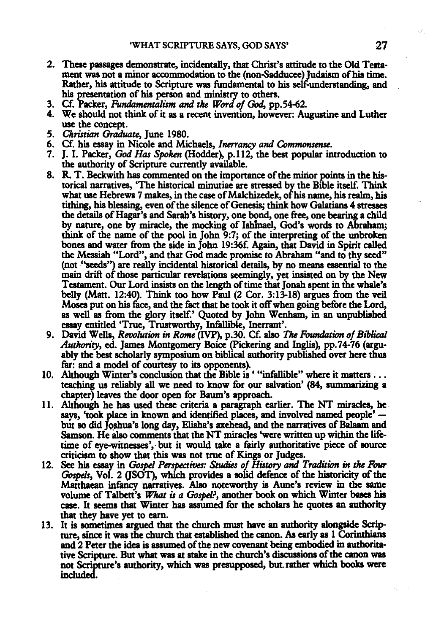- 2. These passages demonstrate, incidentally, that Christ's attitude to the Old Testament was not a minor accommodation to the (non-Sadducee) Judaism of bis time. Rather, bis attitude to Scripture was fundamental to bis self-understanding, and bis presentation of bis person and ministry to others.
- 3. Cf. Packer, *Fundamentalism and t'M Word of* God, pp.54-62.
- 4. We should not think of it as a recent invention, however: Augustine and Luther use the concept.
- 5. *Christian Graduate,* June 1980.
- 6. Cf. bis essay in Nicole and Michaels, *lnerrancy and Commonsense.*
- 7. J. I. Packer, God *Has Spokm* (Hodder), p.112, the best popular introduction to the authority of Scripture currently available.
- 8. R. T. Beckwith has commented on the importance of the mirior points in the historical narratives, 'The historical minutiae are stressed by the Bible itself. Think what use Hebrews 7 makes, in the case of Malchizedek, of his name, his realm, his tithing, bis blessing, even of the silence of Genesis; think how Galatians 4 stresses the details of Hagar's and Sarah's history, one bond, one free, one bearing a child by nature, one by miracle, the mocking of Ishinael, God's words to Abraham; think of the name of the pool in John 9:7; of the interpreting of the unbroken bones and water from the side in John 19:36f. Again, that David in Spirit called the Messiah "Lord", and that God made promise to Abraham "and to thy seed" (not "seeds") are really incidental historical details, by no means essential to the main drift of those particular revelations seemingly, yet insisted on by the New Testament. Our Lord insists on the length of time that Jonah spent in the whale's belly (Matt. 12:40). Think too how Paul (2 Cor. 3:13-18) argues from the veil Moses put on his face, and the fact that he took it off when going before the Lord, as well as from the glory itself.' Quoted by John Wenham, in an unpublished essay entitled 'True, Trustworthy, Infallible, Inerrant'.
- 9. David Wells, *Revolution in Rome* (IVP), p.30. Cf. also The *Foundation of Biblical Authoniy,* ed. James Montgomery Boice (Pickering and Inglis), pp.74-76 (arguably the best scholarly symposium on biblical authority published over here thus
- far: and a model of courtesy to its opponents).<br>10. Although Winter's conclusion that the Bible is ""infallible" where it matters ...<br>teaching us reliably all we need to know for our salvation' (84, summarizing a<br>chapter)
- 11. Although he has used these criteria a paragraph earlier. The NT miracles, he says, 'took place in known and identified places, and involved named people' but so did Joshua's long day, Elisha's axehead, and the narratives of Balaam and Samson. He also comments that the NT miracles 'were written up within the lifetime of eye-witnesses', but it would take a fairly authoritative piece of source criticism to show that this was not true of Kings or Judges.
- 12. See bis essay in *Gospel Perspeaiws: Studies of History and Tradition in the Four Gospels, Vol. 2 (JSOT), which provides a solid defence of the historicity of the* Matthaean infancy narratives. Also noteworthy is Aune's review in the same volume of Talbett's *What is* a *Gospel?,* another book on which Winter bases bis case. It seems that Winter has assumed for the scholars he quotes an authority that they have yet to earn.
- 13. It is sometimes argued that the church must have an authority alongside Scripture, since it was the church that established the canon. As early as 1 Corinthians and 2 Peter the idea is assumed of the new covenant being embodied in authorita· tive Scripture. But what was at stake in the church's discussions of the canon was not Scripture's authority, which was presupposed, but rather which books were included.